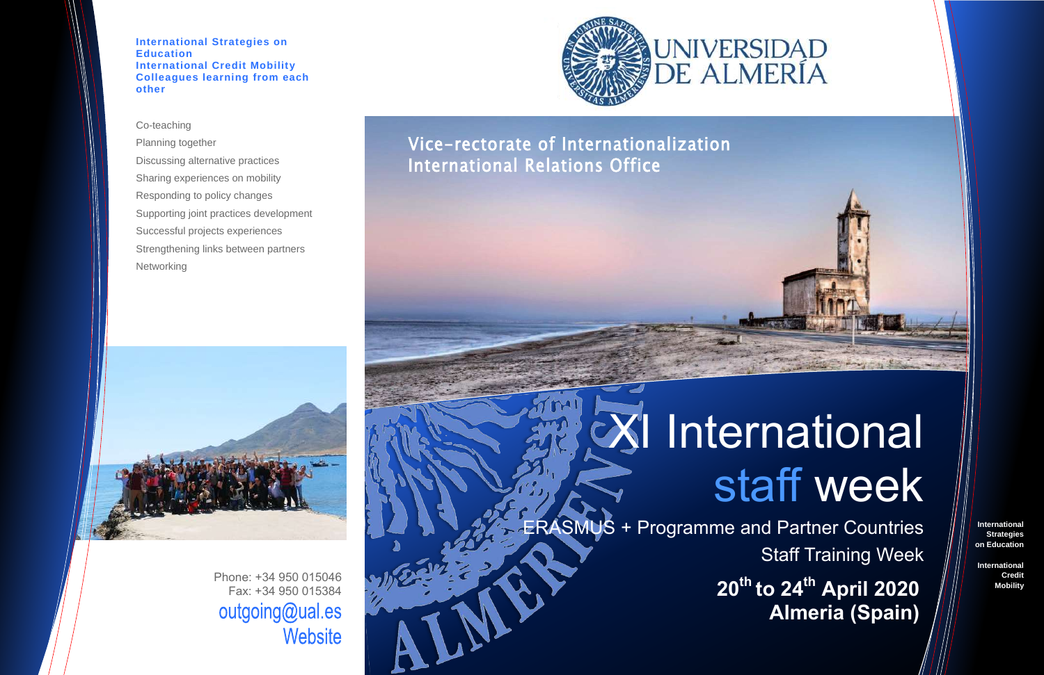**International Strategies on Education**

**International Credit Mobility**

Planning together Discussing alternative practices Sharing experiences on mobility Responding to policy changes Supporting joint practices development Successful projects experiences Strengthening links between partners **Networking** 



**International Strategies on Education International Credit Mobility Colleagues learning from each other**

### Co-teaching

# XI International staff week

Phone: +34 950 015046 Fax: +34 950 015384 outgoing@ual.es Website



ERASMUS + Programme and Partner Countries Staff Training Week

> **20th to 24th April 2020 Almeria (Spain)**



### Vice-rectorate of Internationalization International Relations Office